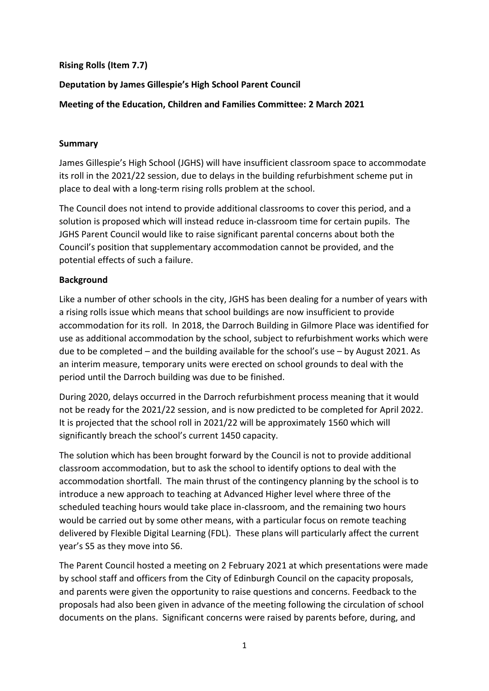### **Rising Rolls (Item 7.7)**

# **Deputation by James Gillespie's High School Parent Council**

## **Meeting of the Education, Children and Families Committee: 2 March 2021**

#### **Summary**

James Gillespie's High School (JGHS) will have insufficient classroom space to accommodate its roll in the 2021/22 session, due to delays in the building refurbishment scheme put in place to deal with a long-term rising rolls problem at the school.

The Council does not intend to provide additional classrooms to cover this period, and a solution is proposed which will instead reduce in-classroom time for certain pupils. The JGHS Parent Council would like to raise significant parental concerns about both the Council's position that supplementary accommodation cannot be provided, and the potential effects of such a failure.

### **Background**

Like a number of other schools in the city, JGHS has been dealing for a number of years with a rising rolls issue which means that school buildings are now insufficient to provide accommodation for its roll. In 2018, the Darroch Building in Gilmore Place was identified for use as additional accommodation by the school, subject to refurbishment works which were due to be completed – and the building available for the school's use – by August 2021. As an interim measure, temporary units were erected on school grounds to deal with the period until the Darroch building was due to be finished.

During 2020, delays occurred in the Darroch refurbishment process meaning that it would not be ready for the 2021/22 session, and is now predicted to be completed for April 2022. It is projected that the school roll in 2021/22 will be approximately 1560 which will significantly breach the school's current 1450 capacity.

The solution which has been brought forward by the Council is not to provide additional classroom accommodation, but to ask the school to identify options to deal with the accommodation shortfall. The main thrust of the contingency planning by the school is to introduce a new approach to teaching at Advanced Higher level where three of the scheduled teaching hours would take place in-classroom, and the remaining two hours would be carried out by some other means, with a particular focus on remote teaching delivered by Flexible Digital Learning (FDL). These plans will particularly affect the current year's S5 as they move into S6.

The Parent Council hosted a meeting on 2 February 2021 at which presentations were made by school staff and officers from the City of Edinburgh Council on the capacity proposals, and parents were given the opportunity to raise questions and concerns. Feedback to the proposals had also been given in advance of the meeting following the circulation of school documents on the plans. Significant concerns were raised by parents before, during, and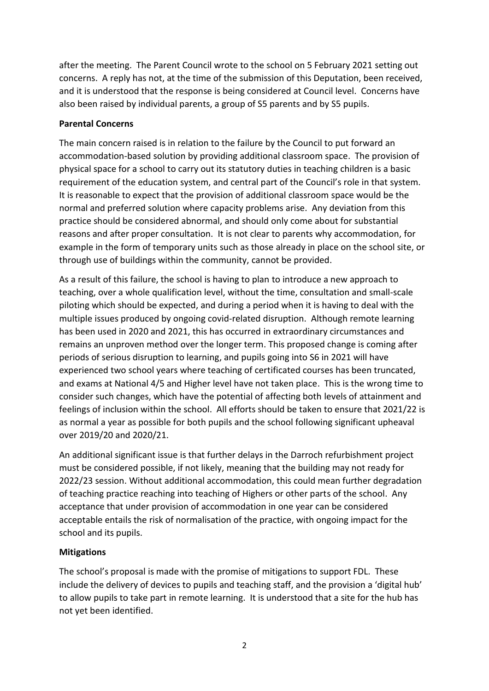after the meeting. The Parent Council wrote to the school on 5 February 2021 setting out concerns. A reply has not, at the time of the submission of this Deputation, been received, and it is understood that the response is being considered at Council level. Concerns have also been raised by individual parents, a group of S5 parents and by S5 pupils.

## **Parental Concerns**

The main concern raised is in relation to the failure by the Council to put forward an accommodation-based solution by providing additional classroom space. The provision of physical space for a school to carry out its statutory duties in teaching children is a basic requirement of the education system, and central part of the Council's role in that system. It is reasonable to expect that the provision of additional classroom space would be the normal and preferred solution where capacity problems arise. Any deviation from this practice should be considered abnormal, and should only come about for substantial reasons and after proper consultation. It is not clear to parents why accommodation, for example in the form of temporary units such as those already in place on the school site, or through use of buildings within the community, cannot be provided.

As a result of this failure, the school is having to plan to introduce a new approach to teaching, over a whole qualification level, without the time, consultation and small-scale piloting which should be expected, and during a period when it is having to deal with the multiple issues produced by ongoing covid-related disruption. Although remote learning has been used in 2020 and 2021, this has occurred in extraordinary circumstances and remains an unproven method over the longer term. This proposed change is coming after periods of serious disruption to learning, and pupils going into S6 in 2021 will have experienced two school years where teaching of certificated courses has been truncated, and exams at National 4/5 and Higher level have not taken place. This is the wrong time to consider such changes, which have the potential of affecting both levels of attainment and feelings of inclusion within the school. All efforts should be taken to ensure that 2021/22 is as normal a year as possible for both pupils and the school following significant upheaval over 2019/20 and 2020/21.

An additional significant issue is that further delays in the Darroch refurbishment project must be considered possible, if not likely, meaning that the building may not ready for 2022/23 session. Without additional accommodation, this could mean further degradation of teaching practice reaching into teaching of Highers or other parts of the school. Any acceptance that under provision of accommodation in one year can be considered acceptable entails the risk of normalisation of the practice, with ongoing impact for the school and its pupils.

### **Mitigations**

The school's proposal is made with the promise of mitigations to support FDL. These include the delivery of devices to pupils and teaching staff, and the provision a 'digital hub' to allow pupils to take part in remote learning. It is understood that a site for the hub has not yet been identified.